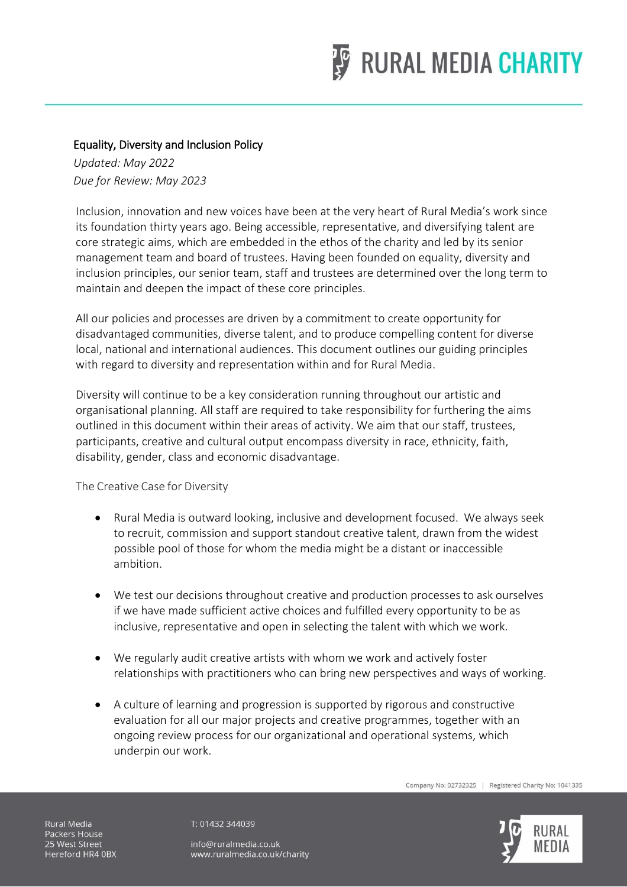

## Equality, Diversity and Inclusion Policy

*Updated: May 2022 Due for Review: May 2023*

Inclusion, innovation and new voices have been at the very heart of Rural Media's work since its foundation thirty years ago. Being accessible, representative, and diversifying talent are core strategic aims, which are embedded in the ethos of the charity and led by its senior management team and board of trustees. Having been founded on equality, diversity and inclusion principles, our senior team, staff and trustees are determined over the long term to maintain and deepen the impact of these core principles.

All our policies and processes are driven by a commitment to create opportunity for disadvantaged communities, diverse talent, and to produce compelling content for diverse local, national and international audiences. This document outlines our guiding principles with regard to diversity and representation within and for Rural Media.

Diversity will continue to be a key consideration running throughout our artistic and organisational planning. All staff are required to take responsibility for furthering the aims outlined in this document within their areas of activity. We aim that our staff, trustees, participants, creative and cultural output encompass diversity in race, ethnicity, faith, disability, gender, class and economic disadvantage.

The Creative Case for Diversity

- Rural Media is outward looking, inclusive and development focused. We always seek to recruit, commission and support standout creative talent, drawn from the widest possible pool of those for whom the media might be a distant or inaccessible ambition.
- We test our decisions throughout creative and production processes to ask ourselves if we have made sufficient active choices and fulfilled every opportunity to be as inclusive, representative and open in selecting the talent with which we work.
- We regularly audit creative artists with whom we work and actively foster relationships with practitioners who can bring new perspectives and ways of working.
- A culture of learning and progression is supported by rigorous and constructive evaluation for all our major projects and creative programmes, together with an ongoing review process for our organizational and operational systems, which underpin our work.

Company No: 02732325 | Registered Charity No: 1041335



Rural Media Packers House 25 West Street Hereford HR4 0BX T: 01432 344039

info@ruralmedia.co.uk www.ruralmedia.co.uk/charity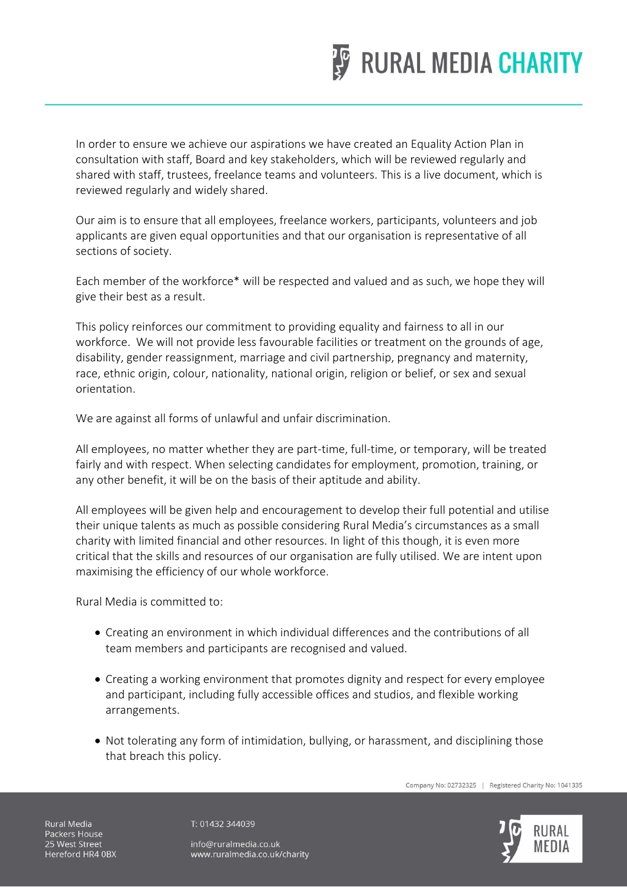

In order to ensure we achieve our aspirations we have created an Equality Action Plan in consultation with staff, Board and key stakeholders, which will be reviewed regularly and shared with staff, trustees, freelance teams and volunteers. This is a live document, which is reviewed regularly and widely shared.

Our aim is to ensure that all employees, freelance workers, participants, volunteers and job applicants are given equal opportunities and that our organisation is representative of all sections of society.

Each member of the workforce\* will be respected and valued and as such, we hope they will give their best as a result.

This policy reinforces our commitment to providing equality and fairness to all in our workforce. We will not provide less favourable facilities or treatment on the grounds of age, disability, gender reassignment, marriage and civil partnership, pregnancy and maternity, race, ethnic origin, colour, nationality, national origin, religion or belief, or sex and sexual orientation.

We are against all forms of unlawful and unfair discrimination.

All employees, no matter whether they are part-time, full-time, or temporary, will be treated fairly and with respect. When selecting candidates for employment, promotion, training, or any other benefit, it will be on the basis of their aptitude and ability.

All employees will be given help and encouragement to develop their full potential and utilise their unique talents as much as possible considering Rural Media's circumstances as a small charity with limited financial and other resources. In light of this though, it is even more critical that the skills and resources of our organisation are fully utilised. We are intent upon maximising the efficiency of our whole workforce.

Rural Media is committed to:

- Creating an environment in which individual differences and the contributions of all team members and participants are recognised and valued.
- Creating a working environment that promotes dignity and respect for every employee and participant, including fully accessible offices and studios, and flexible working arrangements.
- Not tolerating any form of intimidation, bullying, or harassment, and disciplining those that breach this policy.

Company No: 02732325 | Registered Charity No: 1041335

Rural Media Packers House 25 West Street Hereford HR4 0BX T: 01432 344039

info@ruralmedia.co.uk www.ruralmedia.co.uk/charity